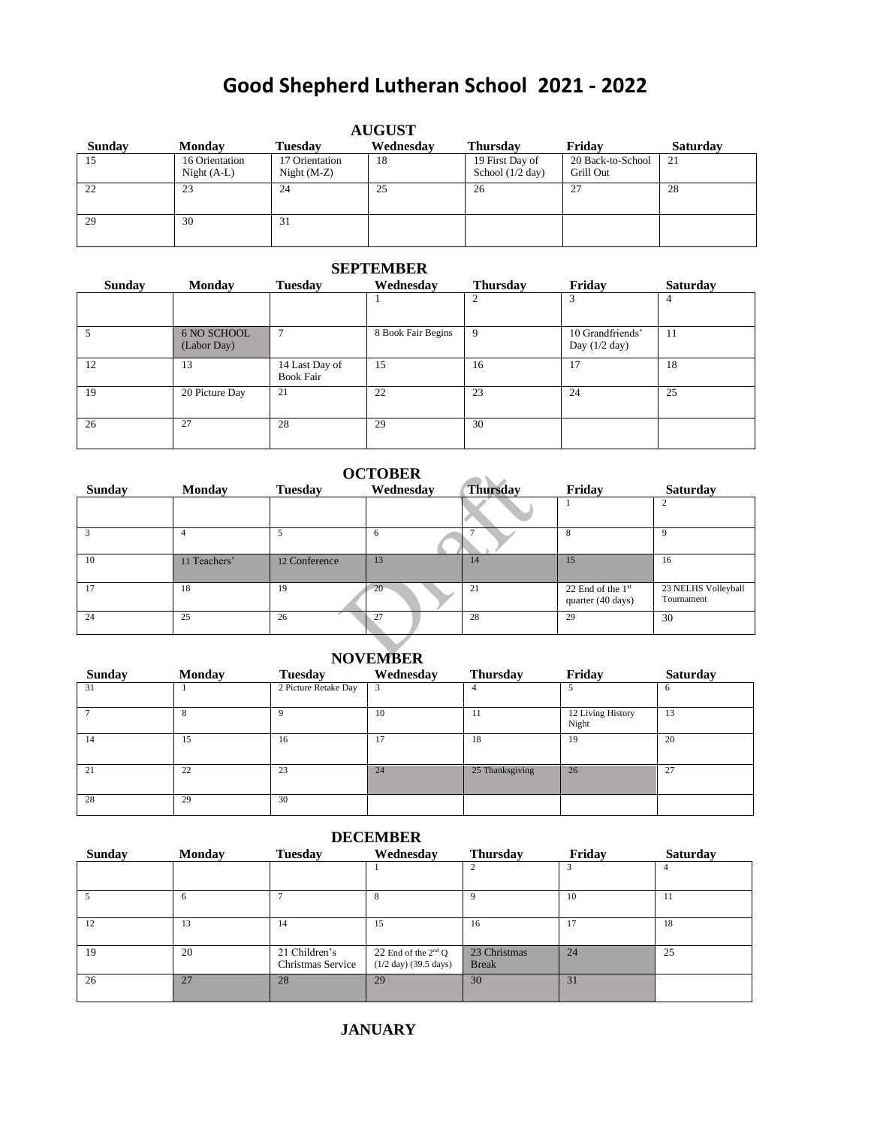## **Good Shepherd Lutheran School 2021 - 2022**

| <b>AUGUST</b> |                                 |                                 |           |                                       |                                |                 |  |  |
|---------------|---------------------------------|---------------------------------|-----------|---------------------------------------|--------------------------------|-----------------|--|--|
| Sunday        | <b>Monday</b>                   | <b>Tuesday</b>                  | Wednesday | <b>Thursday</b>                       | Fridav                         | <b>Saturday</b> |  |  |
| 15            | 16 Orientation<br>Night $(A-L)$ | 17 Orientation<br>Night $(M-Z)$ | 18        | 19 First Day of<br>School $(1/2$ day) | 20 Back-to-School<br>Grill Out | 21              |  |  |
| 22            | 23                              | 24                              | 25        | 26                                    | 27                             | 28              |  |  |
| 29            | 30                              | 31                              |           |                                       |                                |                 |  |  |

## **SEPTEMBER**

| <b>Sunday</b> | <b>Monday</b>              | <b>Tuesday</b>                     | Wednesday          | <b>Thursday</b> | Friday                              | <b>Saturday</b> |
|---------------|----------------------------|------------------------------------|--------------------|-----------------|-------------------------------------|-----------------|
|               |                            |                                    |                    |                 | 3                                   | 4               |
|               | 6 NO SCHOOL<br>(Labor Day) |                                    | 8 Book Fair Begins | 9               | 10 Grandfriends'<br>Day $(1/2$ day) | 11              |
| 12            | 13                         | 14 Last Day of<br><b>Book Fair</b> | 15                 | 16              | 17                                  | 18              |
| 19            | 20 Picture Day             | 21                                 | 22                 | 23              | 24                                  | 25              |
| 26            | 27                         | 28                                 | 29                 | 30              |                                     |                 |

| <b>OCTOBER</b> |               |                |           |                 |                                          |                                   |  |  |
|----------------|---------------|----------------|-----------|-----------------|------------------------------------------|-----------------------------------|--|--|
| Sunday         | <b>Monday</b> | <b>Tuesday</b> | Wednesday | <b>Thursday</b> | Friday                                   | Saturday                          |  |  |
|                |               |                |           |                 |                                          |                                   |  |  |
|                |               |                | n         |                 | 8                                        | Q                                 |  |  |
| 10             | 11 Teachers'  | 12 Conference  | 13        | 14              | 15                                       | 16                                |  |  |
| 17             | 18            | 19             | 20        | 21              | 22 End of the $1st$<br>quarter (40 days) | 23 NELHS Volleyball<br>Tournament |  |  |
| 24             | 25            | 26             | 27        | 28              | 29                                       | 30                                |  |  |

## **NOVEMBER**

| Sunday | <b>Monday</b> | <b>Tuesday</b>       | Wednesday | <b>Thursday</b> | Friday                     | <b>Saturday</b> |
|--------|---------------|----------------------|-----------|-----------------|----------------------------|-----------------|
| 31     |               | 2 Picture Retake Day | 3         | 4               |                            | O               |
|        | $\mathbf{r}$  | 9                    | 10        | 11              | 12 Living History<br>Night | 13              |
| 14     | 15            | 16                   | 17        | 18              | 19                         | 20              |
| 21     | 22            | 23                   | 24        | 25 Thanksgiving | 26                         | 27              |
| 28     | 29            | 30                   |           |                 |                            |                 |

| <b>DECEMBER</b> |               |                                    |                                                                    |                              |        |          |  |  |
|-----------------|---------------|------------------------------------|--------------------------------------------------------------------|------------------------------|--------|----------|--|--|
| Sunday          | <b>Monday</b> | <b>Tuesday</b>                     | Wednesday                                                          | <b>Thursday</b>              | Friday | Saturday |  |  |
|                 |               |                                    |                                                                    |                              |        |          |  |  |
|                 | 6             |                                    | 8                                                                  | 9                            | 10     | 11       |  |  |
| 12              | 13            | 14                                 | 15                                                                 | 16                           | 17     | 18       |  |  |
| 19              | 20            | 21 Children's<br>Christmas Service | 22 End of the $2nd$ O<br>$(1/2 \text{ day})$ $(39.5 \text{ days})$ | 23 Christmas<br><b>Break</b> | 24     | 25       |  |  |
| 26              | 27            | 28                                 | 29                                                                 | 30                           | 31     |          |  |  |